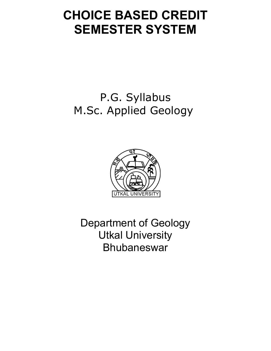# **CHOICE BASED CREDIT SEMESTER SYSTEM**

# P.G. Syllabus M.Sc. Applied Geology



Department of Geology Utkal University Bhubaneswar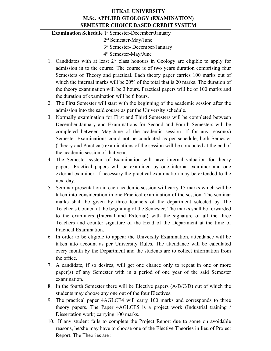# **UTKAL UNIVERSITY M.Sc. APPLIED GEOLOGY (EXAMINATION) SEMESTER CHOICE BASED CREDIT SYSTEM**

**Examination Schedule** 1<sup>st</sup> Semester-December/January

2 nd Semester-May/June

3 rd Semester- December/January

4 th Semester-May/June

- 1. Candidates with at least  $2<sup>nd</sup>$  class honours in Geology are eligible to apply for admission in to the course. The course is of two years duration comprising four Semesters of Theory and practical. Each theory paper carries 100 marks out of which the internal marks will be 20% of the total that is 20 marks. The duration of the theory examination will be 3 hours. Practical papers will be of 100 marks and the duration of examination will be 6 hours.
- 2. The First Semester will start with the beginning of the academic session after the admission into the said course as per the University schedule.
- 3. Normally examination for First and Third Semesters will be completed between December-January and Examinations for Second and Fourth Semesters will be completed between May-June of the academic session. If for any reason(s) Semester Examinations could not be conducted as per schedule, both Semester (Theory and Practical) examinations of the session will be conducted at the end of the academic session of that year.
- 4. The Semester system of Examination will have internal valuation for theory papers. Practical papers will be examined by one internal examiner and one external examiner. If necessary the practical examination may be extended to the next day.
- 5. Seminar presentation in each academic session will carry 15 marks which will be taken into consideration in one Practical examination of the session. The seminar marks shall be given by three teachers of the department selected by The Teacher's Council at the beginning of the Semester. The marks shall be forwarded to the examiners (Internal and External) with the signature of all the three Teachers and counter signature of the Head of the Department at the time of Practical Examination.
- 6. In order to be eligible to appear the University Examination, attendance will be taken into account as per University Rules. The attendance will be calculated every month by the Department and the students are to collect information from the office.
- 7. A candidate, if so desires, will get one chance only to repeat in one or more paper(s) of any Semester with in a period of one year of the said Semester examination.
- 8. In the fourth Semester there will be Elective papers (A/B/C/D) out of which the students may choose any one out of the four Electives.
- 9. The practical paper 4AGLCE4 will carry 100 marks and corresponds to three theory papers. The Paper 4AGLCE5 is a project work (Industrial training / Dissertation work) carrying 100 marks.
- 10. If any student fails to complete the Project Report due to some on avoidable reasons, he/she may have to choose one of the Elective Theories in lieu of Project Report. The Theories are :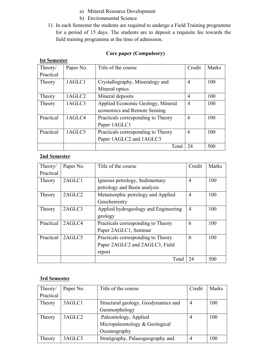- a) Mineral Resource Development
- b) Environmental Science
- 11. In each Semester the students are required to undergo a Field Training programme for a period of 15 days. The students are to deposit a requisite fee towards the field training programme at the time of admission.

# **Core paper (Compulsory)**

| Theory/   | Paper No. | Title of the course                | Credit         | Marks |
|-----------|-----------|------------------------------------|----------------|-------|
| Practical |           |                                    |                |       |
| Theory    | 1AGLC1    | Crystallography, Mineralogy and    | $\overline{4}$ | 100   |
|           |           | Mineral optics                     |                |       |
| Theory    | 1AGLC2    | Mineral deposits                   | $\overline{4}$ | 100   |
| Theory    | 1AGLC3    | Applied Economic Geology, Mineral  | $\overline{4}$ | 100   |
|           |           | economics and Remote Sensing       |                |       |
| Practical | 1AGLC4    | Practicals corresponding to Theory | 6              | 100   |
|           |           | Paper 1AGLC1                       |                |       |
| Practical | 1AGLC5    | Practicals corresponding to Theory | 6              | 100   |
|           |           | Paper 1AGLC2 and 1AGLC3            |                |       |
|           |           | Total                              | 24             | 500   |

# **Ist Semester**

# **2nd Semester**

| Theory/   | Paper No. | Title of the course                  | Credit         | <b>Marks</b> |
|-----------|-----------|--------------------------------------|----------------|--------------|
| Practical |           |                                      |                |              |
| Theory    | 2AGLC1    | Igneous petrology, Sedimentary       | $\overline{4}$ | 100          |
|           |           | petrology and Basin analysis         |                |              |
| Theory    | 2AGLC2    | Metamorphic petrology and Applied    | $\overline{4}$ | 100          |
|           |           | Geochemistry                         |                |              |
| Theory    | 2AGLC3    | Applied hydrogeology and Engineering | $\overline{4}$ | 100          |
|           |           | geology                              |                |              |
| Practical | 2AGLC4    | Practicals corresponding to Theory   | 6              | 100          |
|           |           | Paper 2AGLC1, Seminar                |                |              |
| Practical | 2AGLC5    | Practicals corresponding to Theory   | 6              | 100          |
|           |           | Paper 2AGLC2 and 2AGLC3, Field       |                |              |
|           |           | report                               |                |              |
|           |           | Total                                | 24             | 500          |

# **3rd Semester**

| Theory/   | Paper No. | Title of the course                 | Credit         | Marks |
|-----------|-----------|-------------------------------------|----------------|-------|
| Practical |           |                                     |                |       |
| Theory    | 3AGLC1    | Structural geology, Geodynamics and | $\overline{4}$ | 100   |
|           |           | Geomorphology                       |                |       |
| Theory    | 3AGLC2    | Paleontology, Applied               | 4              | 100   |
|           |           | Micropaleontology & Geological      |                |       |
|           |           | Oceanography                        |                |       |
| Theory    | 3AGLC3    | Stratigraphy, Palaeogeography and   | 4              | 100   |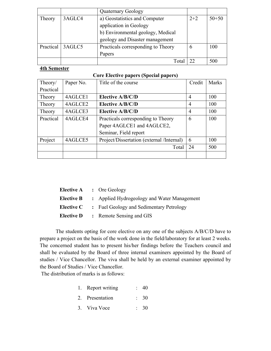|           |        | <b>Quaternary Geology</b>          |             |           |
|-----------|--------|------------------------------------|-------------|-----------|
| Theory    | 3AGLC4 | a) Geostatistics and Computer      | $2 + 2$     | $50 + 50$ |
|           |        | application in Geology             |             |           |
|           |        | b) Environmental geology, Medical  |             |           |
|           |        | geology and Disaster management    |             |           |
| Practical | 3AGLC5 | Practicals corresponding to Theory | $\mathbf b$ | 100       |
|           |        | Papers                             |             |           |
|           |        | Total                              |             | 500       |

# **4th Semester**

| <b>Core Elective papers (Special papers)</b> |
|----------------------------------------------|
|----------------------------------------------|

| Theory/   | Paper No. | Title of the course                       | Credit         | <b>Marks</b> |
|-----------|-----------|-------------------------------------------|----------------|--------------|
| Practical |           |                                           |                |              |
| Theory    | 4AGLCE1   | Elective A/B/C/D                          | $\overline{4}$ | 100          |
| Theory    | 4AGLCE2   | Elective A/B/C/D                          | $\overline{4}$ | 100          |
| Theory    | 4AGLCE3   | Elective A/B/C/D                          | $\overline{4}$ | 100          |
| Practical | 4AGLCE4   | Practicals corresponding to Theory        | 6              | 100          |
|           |           | Paper 4AGLCE1 and 4AGLCE2,                |                |              |
|           |           | Seminar, Field report                     |                |              |
| Project   | 4AGLCE5   | Project/Dissertation (external /Internal) | 6              | 100          |
|           |           | Total                                     | 24             | 500          |
|           |           |                                           |                |              |

| <b>Elective A</b> : Ore Geology                               |
|---------------------------------------------------------------|
| <b>Elective B</b> : Applied Hydrogeology and Water Management |
| <b>Elective C</b> : Fuel Geology and Sedimentary Petrology    |
| <b>Elective D</b> : Remote Sensing and GIS                    |

The students opting for core elective on any one of the subjects A/B/C/D have to prepare a project on the basis of the work done in the field/laboratory for at least 2 weeks. The concerned student has to present his/her findings before the Teachers council and shall be evaluated by the Board of three internal examiners appointed by the Board of studies / Vice Chancellor. The viva shall be held by an external examiner appointed by the Board of Studies / Vice Chancellor.

The distribution of marks is as follows:

- 1. Report writing : 40
- 2. Presentation : 30
- 3. Viva Voce : 30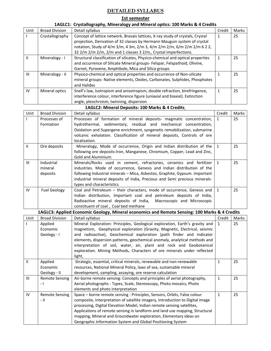# **DETAILED SYLLABUS**

## **1st semester**

# **1AGLC1: Crystallography, Mineralogy and Mineral optics: 100 Marks & 4 Credits**

| Unit           | <b>Broad Division</b> | Detail syllabus                                                                 | Credit | <b>Marks</b> |
|----------------|-----------------------|---------------------------------------------------------------------------------|--------|--------------|
|                | Crystallography       | Concept of lattice network, Bravais lattices, X-ray study of crystals, Crystal  | 1      | 25           |
|                |                       | projection, Derivation of 32 classes by Hermann Mauguin system of crystal       |        |              |
|                |                       | notation, Study of 4/m 3/m, 4 3m, 2/m 3, 4/m 2/m 2/m, 6/m 2/m 2/m 6 2 2,        |        |              |
|                |                       | 32 2/m 2/m 2/m, 2/m and 1 classes 3 2/m,, Crystal imperfections.                |        |              |
| Ш              | Mineralogy - I        | Structural classification of silicates, Physico-chemical and optical properties |        | 25           |
|                |                       | and occurrence of Silicate Mineral groups- Felspar, Felspathoid, Olivine,       |        |              |
|                |                       | Garnet, Pyroxene, Amphibole, Mica and Silica groups                             |        |              |
| $\mathbf{III}$ | Mineralogy - II       | Physico-chemical and optical properties and occurrence of Non-silicate          |        | 25           |
|                |                       | mineral groups- Native elements, Oxides, Carbonates, Sulphides, Phosphates      |        |              |
|                |                       | and Halides                                                                     |        |              |
| IV             | Mineral optics        | Snell's law, Isotropism and anisotropism, double refraction, birefringence,     |        | 25           |
|                |                       | interference colour, interference figure (uniaxial and biaxial). Extinction     |        |              |
|                |                       | angle, pleochroism, twinning, dispersion                                        |        |              |

### **1AGLC2: Mineral Deposits: 100 Marks & 4 Credits**

| Unit           | <b>Broad Division</b> | Detail syllabus                                                                               | Credit         | Marks |
|----------------|-----------------------|-----------------------------------------------------------------------------------------------|----------------|-------|
|                | Processes of          | Processes of formation of mineral deposits- magmatic concentration,                           | 1              | 25    |
|                | Formation             | hydrothermal, sedimentary, residual and mechanical concentration,                             |                |       |
|                |                       | Oxidation and Supergene enrichment, syngenetic remobilization, submarine                      |                |       |
|                |                       | volcanic exhalation. Classification of mineral deposits, Controls of ore                      |                |       |
|                |                       | localization.                                                                                 |                |       |
| $\mathbf{II}$  | Ore deposits          | Mineralogy, Mode of occurrence, Origin and Indian distribution of the                         | 1              | 25    |
|                |                       | following ore deposits-Iron, Manganese, Chromium, Copper, Lead and Zinc,                      |                |       |
|                |                       | Gold and Aluminium.                                                                           |                |       |
| $\mathbf{III}$ | Industrial            | Minerals/Rocks used in cement, refractories, ceramics and fertilizer                          | 1              | 25    |
|                | mineral               | industries. Mode of occurrence, Genesis and Indian distribution of the                        |                |       |
|                | deposits              | following Industrial minerals - Mica, Asbestos, Graphite, Gypsum. Important                   |                |       |
|                |                       | industrial mineral deposits of India, Precious and Semi precious minerals-                    |                |       |
|                |                       | types and characteristics                                                                     |                |       |
| IV             | <b>Fuel Geology</b>   | Coal and Petroleum - their characters, mode of occurrence, Genesis and                        | $\overline{1}$ | 25    |
|                |                       | Indian distribution, Important coal and petroleum deposits of India,                          |                |       |
|                |                       | Radioactive mineral deposits of India, Macroscopic and Microscopic                            |                |       |
|                |                       | constituent of coal, Coal bed methane                                                         |                |       |
|                |                       | 1AGLC3: Applied Economic Geology, Mineral economics and Remote Sensing: 100 Marks & 4 Credits |                |       |
| Unit           | <b>Broad Division</b> | Detail syllabus                                                                               | Credit         | Marks |
|                | Applied               | Mineral Exploration: Principles, Geological exploration, Earth's gravity and $\vert$ 1        |                | 25    |
|                | Economic              | magnetism, Geophysical exploration (Gravity, Magnetic, Electrical, seismic                    |                |       |
|                | Geology - I           | and radioactive), Geochemical exploration (path finder and indicator                          |                |       |
|                |                       | elements, dispersion patterns, geochemical anomaly, analytical methods and                    |                |       |
|                |                       | interpretation of soil, water, air, plant and rock and Geobotanical                           |                |       |
|                |                       | exploration. Mining Methods, Characters of ore minerals under reflected                       |                |       |
|                |                       | light,                                                                                        |                |       |
| $\mathbf{H}$   | Applied               | Strategic, essential, critical minerals, renewable and non-renewable                          |                | 25    |

|              |                          | light,                                                                        |    |
|--------------|--------------------------|-------------------------------------------------------------------------------|----|
| $\mathbf{H}$ | Applied                  | Strategic, essential, critical minerals, renewable and non-renewable          | 25 |
|              | Economic                 | resources, National Mineral Policy, laws of sea, sustainable mineral          |    |
|              | Geology - II             | development, sampling, assaying, ore reserve calculation                      |    |
| Ш            | <b>Remote Sensing</b>    | Air-borne remote sensing: Concepts and principles of aerial photography,      | 25 |
|              | $\overline{\phantom{0}}$ | Aerial photographs - Types, Scale, Stereoscopy, Photo mosaics, Photo          |    |
|              |                          | elements and photo interpretation                                             |    |
| IV           | <b>Remote Sensing</b>    | Space - borne remote sensing : Principles, Sensors, Orbits, False colour      | 25 |
|              | - 11                     | composite, Interpretation of satellite imagery, Introduction to Digital image |    |
|              |                          | processing, Digital Elevation Model, Indian remote sensing satellites,        |    |
|              |                          | Applications of remote sensing in landform and land use mapping, Structural   |    |
|              |                          | mapping, Mineral and Groundwater exploration, Elementary ideas on             |    |
|              |                          | Geographic Information System and Global Positioning System                   |    |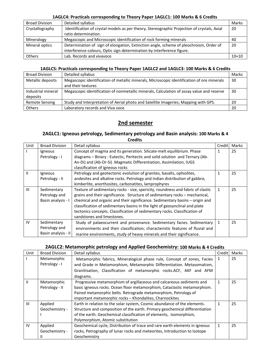#### **1AGLC4: Practicals corresponding to Theory Paper 1AGLC1: 100 Marks & 6 Credits**

| <b>Broad Division</b> | Detailed syllabus                                                                           | Marks   |
|-----------------------|---------------------------------------------------------------------------------------------|---------|
| Crystallography       | Identification of crystal models as per theory, Stereographic Projection of crystals, Axial | 20      |
|                       | ratio determination.                                                                        |         |
| Mineralogy            | Megascopic and Microscopic identification of rock forming minerals                          | 40      |
| Mineral optics        | Determination of sign of elongation, Extinction angle, scheme of pleochroism, Order of      | 20      |
|                       | interference colours, Optic sign determination by interference figure.                      |         |
| <b>Others</b>         | Lab. Records and vivavoce                                                                   | $10+10$ |

#### **1AGLC5: Practicals corresponding to Theory Paper 1AGLC2 and 1AGLC3: 100 Marks & 6 Credits**

| <b>Broad Division</b> | Detailed syllabus                                                                          | Marks |
|-----------------------|--------------------------------------------------------------------------------------------|-------|
| Metallic deposits     | Megascopic identification of metallic minerals, Microscopic identification of ore minerals | 30    |
|                       | and their textures                                                                         |       |
| Industrial mineral    | Megascopic identification of nonmetallic minerals, Calculation of assay value and reserve  | 30    |
| deposits              |                                                                                            |       |
| <b>Remote Sensing</b> | Study and Interpretation of Aerial photo and Satellite Imageries; Mapping with GPS.        | 20    |
| <b>Others</b>         | Laboratory records and Viva voce                                                           | 20    |

# **2nd semester**

## **2AGLC1: Igneous petrology, Sedimentary petrology and Basin analysis: 100 Marks & 4 Credits**

| Unit | <b>Broad Division</b> | Detail syllabus                                                                 | Credit       | Marks |
|------|-----------------------|---------------------------------------------------------------------------------|--------------|-------|
|      | Igneous               | Concept of magma and its generation. Silicate-melt equilibrium. Phase           | 1            | 25    |
|      | Petrology - I         | diagrams - Binary: Eutectic, Peritectic and solid solution and Ternary (Ab-     |              |       |
|      |                       | An-Di) and (Ab-Or-Si) Magmatic Differentiation, Assimilation, IUGS              |              |       |
|      |                       | classification of igneous rocks                                                 |              |       |
| Ш    | Igneous               | Petrology and geotectonic evolution of granites, basalts, ophiolites,           | 1            | 25    |
|      | Petrology - II        | andesites and alkaline rocks. Petrology and Indian distribution of gabbro,      |              |       |
|      |                       | kimberlite, anorthosites, carbonatites, lamprophyres                            |              |       |
| Ш    | Sedimentary           | Texture of sedimentary rocks - size, spericity, roundness and fabric of clastic | $\mathbf{1}$ | 25    |
|      | Petrology and         | grains and their significance. Structure of sedimentary rocks - mechanical,     |              |       |
|      | Basin analysis - I    | chemical and organic and their significance. Sedimentary basins - origin and    |              |       |
|      |                       | classification of sedimentary basins in the light of geosynclinal and plate     |              |       |
|      |                       | tectonics concepts. Classification of sedimentary rocks. Classification of      |              |       |
|      |                       | sandstones and limestones.                                                      |              |       |
| IV   | Sedimentary           | Study of palaeocurrent and provenance. Sedimentary facies. Sedimentary          | 1            | 25    |
|      | Petrology and         | environments and their classification; characteristic features of fluvial and   |              |       |
|      | Basin analysis - II   | marine environments, study of heavy minerals and their significance.            |              |       |

# **2AGLC2: Metamorphic petrology and Applied Geochemistry: 100 Marks & 4 Credits**

| Unit          | <b>Broad Division</b> | Detail syllabus                                                             | Credit | Marks |
|---------------|-----------------------|-----------------------------------------------------------------------------|--------|-------|
|               | Metamorphic           | Metamorphic fabrics, Mineralogical phase rule, Concept of zones, Facies     | 1      | 25    |
|               | Petrology - I         | and Grade in Metamorphism, Metamorphic Differentiation. Metasomatism,       |        |       |
|               |                       | Granitisation, Classification of metamorphic rocks.ACF, AKF and AFM         |        |       |
|               |                       | diagrams.                                                                   |        |       |
| $\mathbf{II}$ | Metamorphic           | Progressive metamorphism of argillaceous and calcareous sediments and       | 1      | 25    |
|               | Petrology - II        | basic igneous rocks. Ocean floor metamorphism, Cataclastic metamorphism.    |        |       |
|               |                       | Paired metamorphic belts. Retrograde metamorphism, Petrology of             |        |       |
|               |                       | important metamorphic rocks - Khondalites, Charnockites                     |        |       |
| III           | Applied               | Earth in relation to the solar system, Cosmic abundance of the elements.    | 1      | 25    |
|               | Geochemistry -        | Structure and composition of the earth. Primary geochemical differentiation |        |       |
|               |                       | of the earth. Geochemical classification of elements, Isomorphism,          |        |       |
|               |                       | Polymorphism, Atomic substitution                                           |        |       |
| IV            | Applied               | Geochemical cycle, Distribution of trace and rare earth elements in igneous | 1      | 25    |
|               | Geochemistry -        | rocks, Petrography of lunar rocks and meteorites, Introduction to Isotope   |        |       |
|               |                       | Geochemistry                                                                |        |       |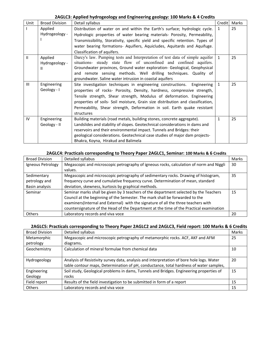### **2AGLC3: Applied hydrogeology and Engineering geology: 100 Marks & 4 Credits**

| Unit           | <b>Broad Division</b>          | Detail syllabus                                                                                                                                                                                                                                                                                                                                                                                          | Credit       | Marks |
|----------------|--------------------------------|----------------------------------------------------------------------------------------------------------------------------------------------------------------------------------------------------------------------------------------------------------------------------------------------------------------------------------------------------------------------------------------------------------|--------------|-------|
|                | Applied<br>Hydrogeology -      | Distribution of water on and within the Earth's surface; hydrologic cycle.<br>Hydrologic properties of water bearing materials- Porosity, Permeability,<br>Transmissibility, Storativity, specific yield and specific retention. Types of<br>water bearing formations- Aquifiers, Aquicludes, Aquitards and Aquifuge.<br>Classification of aquifers.                                                     | 1            | 25    |
| $\mathbf{H}$   | Applied<br>Hydrogeology -<br>Ш | Darcy's law. Pumping tests and Interpretation of test data of simple aquifer<br>situations- steady state flow of unconfined and confined aquifers.<br>Groundwater provinces, Ground water exploration- Geological, Geophysical<br>and remote sensing methods. Well drilling techniques. Quality of<br>groundwater. Saline water intrusion in coastal aquifers                                            | $\mathbf{1}$ | 25    |
| $\mathbf{III}$ | Engineering<br>Geology - I     | Site investigation techniques in engineering constructions. Engineering<br>properties of rocks- Porosity, Density, hardness, compressive strength,<br>Tensile strength, Shear strength, Modulus of deformation. Engineering<br>properties of soils- Soil moisture, Grain size distribution and classification,<br>Permeability, Shear strength, Deformation in soil. Earth quake resistant<br>structures | $\mathbf{1}$ | 25    |
| IV             | Engineering<br>Geology - II    | Building materials (road metals, building stones, concrete aggregate).<br>Landslides and stability of slopes. Geotechnical considerations in dams and<br>reservoirs and their environmental impact. Tunnels and Bridges: their<br>geological considerations. Geotechnical case studies of major dam projects-<br>Bhakra, Koyna, Hirakud and Balimela                                                     | $\mathbf{1}$ | 25    |

## **2AGLC4: Practicals corresponding to Theory Paper 2AGLC1, Seminar: 100 Marks & 6 Credits**

| <b>Broad Division</b> | Detailed syllabus                                                                       | Marks |
|-----------------------|-----------------------------------------------------------------------------------------|-------|
| Igneous Petrology     | Megascopic and microscopic petrography of igneous rocks, calculation of norm and Niggli | 30    |
|                       | values.                                                                                 |       |
| Sedimentary           | Megascopic and microscopic petrography of sedimentary rocks. Drawing of histogram,      | 35    |
| petrology and         | frequency curve and cumulative frequency curve. Determination of mean, standard         |       |
| Basin analysis        | deviation, skewness, kurtosis by graphical methods.                                     |       |
| Seminar               | Seminar marks shall be given by 3 teachers of the department selected by the Teachers   | 15    |
|                       | Council at the beginning of the Semester. The mark shall be forwarded to the            |       |
|                       | examiners(Internal and External) with the signature of all the three teachers with      |       |
|                       | countersignature of the Head of the Department at the time of the Practical examination |       |
| Others                | Laboratory records and viva voce                                                        | 20    |

## **2AGLC5: Practicals corresponding to Theory Paper 2AGLC2 and 2AGLC3, Field report: 100 Marks & 6 Credits**

| <b>Broad Division</b> | Detailed syllabus                                                                         | Marks |
|-----------------------|-------------------------------------------------------------------------------------------|-------|
| Metamorphic           | Megascopic and microscopic petrography of metamorphic rocks. ACF, AKF and AFM             | 25    |
| petrology             | diagrams.                                                                                 |       |
| Geochemistry          | Calculation of mineral formulae from chemical data                                        | 10    |
|                       |                                                                                           |       |
| Hydrogeology          | Analysis of Resistivity survey data, analysis and interpretation of bore hole logs. Water | 20    |
|                       | table contour maps, Determination of pH, conductance, total hardness of water samples,    |       |
| Engineering           | Soil study, Geological problems in dams, Tunnels and Bridges. Engineering properties of   | 15    |
| Geology               | rocks                                                                                     |       |
| Field report          | Results of the field investigation to be submitted in form of a report                    | 15    |
| <b>Others</b>         | Laboratory records and viva voce                                                          | 15    |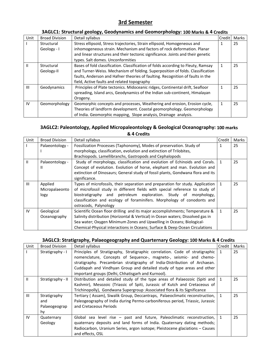# **3rd Semester**

# **3AGLC1: Structural geology, Geodynamics and Geomorphology: 100 Marks & 4 Credits**

| Unit           | <b>Broad Division</b> | Detail syllabus                                                                   | Credit | Marks |
|----------------|-----------------------|-----------------------------------------------------------------------------------|--------|-------|
|                | Structural            | Stress ellipsoid, Stress trajectories, Strain ellipsoid, Homogeneous and          |        | 25    |
|                | Geology - I           | inhomogeneous strain. Mechanism and factors of rock deformation. Planar           |        |       |
|                |                       | and linear structures and their tectonic significance. Joints and their genetic   |        |       |
|                |                       | types. Salt domes. Unconformities                                                 |        |       |
| Ш              | Structural            | Bases of fold classification. Classification of folds according to Fleuty, Ramsay |        | 25    |
|                | Geology-II            | and Turner-Weiss. Mechanism of folding. Superposition of folds. Classification    |        |       |
|                |                       | faults, Anderson and Hafner theories of faulting. Recognition of faults in the    |        |       |
|                |                       | field, Active faults and related topography                                       |        |       |
| $\mathbf{III}$ | Geodynamics           | Principles of Plate tectonics. Midoceanic ridges, Continental drift, Seafloor     |        | 25    |
|                |                       | spreading, Island arcs, Geodynamics of the Indian sub-continent, Himalayan        |        |       |
|                |                       | Orogeny.                                                                          |        |       |
| IV             | Geomorphology         | Geomorphic concepts and processes, Weathering and erosion, Erosion cycle,         |        | 25    |
|                |                       | Theories of landform development. Coastal geomorphology. Geomorphology            |        |       |
|                |                       | of India. Geomorphic mapping, Slope analysis, Drainage analysis.                  |        |       |

## **3AGLC2: Paleontology, Applied Micropaleontology & Geological Oceanography: 100 marks & 4 Credits**

| Unit          | <b>Broad Division</b> | Detail syllabus                                                                 | Credit       | Marks |
|---------------|-----------------------|---------------------------------------------------------------------------------|--------------|-------|
|               | Palaeontology -       | Fossilization Processes (Taphonomy), Modes of preservation. Study of            | 1            | 25    |
|               |                       | morphology, classification, evolution and extinction of Trilobites,             |              |       |
|               |                       | Brachiopods. Lamellibranchs, Gastropods and Cephalopods                         |              |       |
| $\mathbf{II}$ | Palaeontology -       | Study of morphology, classification and evolution of Echinoids and Corals.      |              | 25    |
|               | Ш                     | Concept of evolution. Evolution of horse, elephant and man. Evolution and       |              |       |
|               |                       | extinction of Dinosaurs; General study of fossil plants, Gondwana flora and its |              |       |
|               |                       | significance.                                                                   |              |       |
| Ш             | Applied               | Types of microfossils, their separation and preparation for study. Application  |              | 25    |
|               | Micropalaeonto        | of microfossil study in different fields with special reference to study of     |              |       |
|               | logy                  | biostratigraphy and petroleum exploration. Study of morphology,                 |              |       |
|               |                       | classification and ecology of foraminifers. Morphology of conodonts and         |              |       |
|               |                       | ostracods, Palynology                                                           |              |       |
| IV            | Geological            | Scientific Ocean floor drilling and its major accomplishments; Temperature &    | $\mathbf{1}$ | 25    |
|               | Oceanography          | Salinity distribution (Horizontal & Vertical) in Ocean waters; Dissolved gas in |              |       |
|               |                       | Sea water; Oxygen Minimum Zones and Upwelling in Oceans; Biological-            |              |       |
|               |                       | Chemical-Physical interactions in Oceans; Surface & Deep Ocean Circulations     |              |       |

# **3AGLC3: Stratigraphy, Palaeogeography and Quarternary Geology: 100 Marks & 4 Credits**

| Unit           | <b>Broad Division</b> | Detail syllabus                                                               | Credit | Marks |
|----------------|-----------------------|-------------------------------------------------------------------------------|--------|-------|
|                | Stratigraphy - I      | Principles of Stratigraphy, Stratigraphic correlation. Code of stratigraphic  |        | 25    |
|                |                       | nomenclature, Concepts of Sequence-, magneto-, seismic- and chemo-            |        |       |
|                |                       | stratigraphy. Precambrian stratigraphy of India-Distribution of Archaean.     |        |       |
|                |                       | Cuddapah and Vindhyan Group and detailed study of type areas and other        |        |       |
|                |                       | important groups (Delhi, Chhatisgarh and Kurnool).                            |        |       |
| $\mathbf{H}$   | Stratigraphy - II     | Distribution and detailed study of the type areas of Palaeozoic (Spiti and    |        | 25    |
|                |                       | Kashmir), Mesozoic (Triassic of Spiti, Jurassic of Kutch and Cretaceous of    |        |       |
|                |                       | Trichinopolly), Gondwana Supergroup : Associated flora & its Significance     |        |       |
| $\mathbf{III}$ | Stratigraphy          | Tertiary (Assam), Siwalik Group, Deccantraps, Palaeoclimatic reconstruction,  |        | 25    |
|                | and                   | Paleogeography of India during Permo-carboniferous period, Triassic, Jurassic |        |       |
|                | Palaeogeograp         | and Cretaceous Periods                                                        |        |       |
|                | hy                    |                                                                               |        |       |
| IV             | Quaternary            | Global sea level rise - past and future, Paleoclimatic reconstruction,        |        | 25    |
|                | Geology               | quaternary deposits and land forms of India. Quaternary dating methods;       |        |       |
|                |                       | Radiocarbon, Uranium Series, argon isotope; Pleistocene glaciations - Causes  |        |       |
|                |                       | and effects, OSL                                                              |        |       |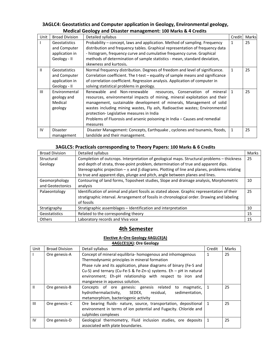# **3AGLC4: Geostatistics and Computer application in Geology, Environmental geology, Medical Geology and Disaster management: 100 Marks & 4 Credits**

| Unit | <b>Broad Division</b> | Detailed syllabus                                                               | Credit | Marks |
|------|-----------------------|---------------------------------------------------------------------------------|--------|-------|
|      | Geostatistics         | Probability - concept, laws and application. Method of sampling. Frequency      |        | 25    |
|      | and Computer          | distribution and frequency tables. Graphical representation of frequency data   |        |       |
|      | application in        | - histogram, frequency curve and cumulative frequency curve. Graphical          |        |       |
|      | Geology - II          | methods of determination of sample statistics - mean, standard deviation,       |        |       |
|      |                       | skewness and kurtosis.                                                          |        |       |
| Ш    | Geostatistics         | Normal frequency distribution. Degrees of freedom and level of significance.    |        | 25    |
|      | and Computer          | Correlation coefficient. The t-test - equality of sample means and significance |        |       |
|      | application in        | of correlation coefficient. Regression analysis. Application of computer in     |        |       |
|      | Geology - II          | solving statistical problems in geology.                                        |        |       |
| III  | Environmental         | Renewable and Non-renewable<br>resources, Conservation of mineral               | 1      | 25    |
|      | geology and           | resources, environmental impacts of mining, mineral exploitation and their      |        |       |
|      | Medical               | management, sustainable development of minerals, Management of solid            |        |       |
|      | geology               | wastes including mining wastes, Fly ash, Radioactive wastes; Environmental      |        |       |
|      |                       | protection-Legislative measures in India                                        |        |       |
|      |                       | Problems of Fluorosis and arsenic poisoning in India – Causes and remedial      |        |       |
|      |                       | measures                                                                        |        |       |
| IV   | <b>Disaster</b>       | Disaster Management: Concepts, Earthquake, cyclones and tsunamis, floods,       | 1      | 25    |
|      | management            | landslide and their management.                                                 |        |       |

# **3AGLC5: Practicals corresponding to Theory Papers: 100 Marks & 6 Credits**

| <b>Broad Division</b> | Detailed syllabus                                                                                                                                                                                        | Marks |
|-----------------------|----------------------------------------------------------------------------------------------------------------------------------------------------------------------------------------------------------|-------|
| Structural            | Completion of outcrops. Interpretation of geological maps. Structural problems - thickness                                                                                                               | 25    |
| Geology               | and depth of strata, three-point problem, determination of true and apparent dips.                                                                                                                       |       |
|                       | Stereographic projection $-\pi$ and $\beta$ diagrams. Plotting of line and planes, problems relating                                                                                                     |       |
|                       | to true and apparent dips, plunge and pitch, angle between planes and lines.                                                                                                                             |       |
| Geomorphology         | Contouring of land forms, Toposheet studies, Slope and drainage analysis, Morphometric                                                                                                                   | 10    |
| and Geotectonics      | analysis                                                                                                                                                                                                 |       |
| Palaeontology         | Identification of animal and plant fossils as stated above. Graphic representation of their<br>stratigraphic interval. Arrangement of fossils in chronological order. Drawing and labeling<br>of fossils | 25    |
| Stratigraphy          | Stratigraphic assemblages - Identification and interpretation                                                                                                                                            | 10    |
| Geostatistics         | Related to the corresponding theory                                                                                                                                                                      | 15    |
| <b>Others</b>         | Laboratory records and Viva voce                                                                                                                                                                         | 15    |

# **4th Semester**

## **Elective A–Ore Geology 4AGLCE(A)**

#### **4AGLCE1(A): Ore Geology**

| Unit         | <b>Broad Division</b> | Detail syllabus                                                     | Credit | Marks |  |
|--------------|-----------------------|---------------------------------------------------------------------|--------|-------|--|
|              | Ore genesis-A         | Concept of mineral equilibria- homogenous and inhomogenous          |        | 25    |  |
|              |                       | Thermodynamic principles in mineral formation                       |        |       |  |
|              |                       | Phase rule and its application, phase diagrams of binary (Fe-S and  |        |       |  |
|              |                       | Cu-S) and ternary (Cu-Fe-S & Fe-Zn-s) systems. $Eh - pH$ in natural |        |       |  |
|              |                       | environment; Eh-pH relationship with respect to iron and            |        |       |  |
|              |                       | manganese in aqueous solution.                                      |        |       |  |
| $\mathbf{H}$ | Ore genesis-B         | Concepts of ore genesis: genesis related<br>magmatic,<br>to         | 1      | 25    |  |
|              |                       | hydrothermalactivity,<br>residual,<br>SEDEX,<br>sedimentation,      |        |       |  |
|              |                       | metamorphism, bacteriogenic activity                                |        |       |  |
| III          | Ore genesis-C         | Ore bearing fluids- nature, source, transportation, depositional    | 1      | 25    |  |
|              |                       | environment in terms of ion potential and Fugacity. Chloride and    |        |       |  |
|              |                       | sulphides complexes                                                 |        |       |  |
| IV           | Ore genesis-D         | Geological thermometry, Fluid inclusion studies, ore deposits       | 1      | 25    |  |
|              |                       | associated with plate boundaries.                                   |        |       |  |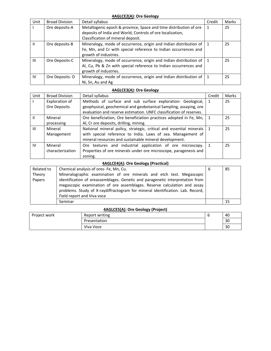#### **4AGLCE2(A): Ore Geology**

| Unit         | <b>Broad Division</b> | Detail syllabus                                                   | Credit | Marks |
|--------------|-----------------------|-------------------------------------------------------------------|--------|-------|
|              | Ore deposits-A        | Metallogenic epoch & province, Space and time distribution of ore |        | 25    |
|              |                       | deposits of India and World, Controls of ore localization,        |        |       |
|              |                       | Classification of mineral deposit.                                |        |       |
| $\mathbf{I}$ | Ore deposits-B        | Mineralogy, mode of occurrence, origin and Indian distribution of |        | 25    |
|              |                       | Fe, Mn, and Cr with special reference to Indian occurrences and   |        |       |
|              |                       | growth of industries.                                             |        |       |
| Ш            | Ore Deposits-C        | Mineralogy, mode of occurrence, origin and Indian distribution of |        | 25    |
|              |                       | Al, Cu, Pb & Zn with special reference to Indian occurrences and  |        |       |
|              |                       | growth of industries.                                             |        |       |
| IV           | Ore Deposits-D        | Mineralogy, mode of occurrence, origin and Indian distribution of |        | 25    |
|              |                       | Ni, Sn, Au and Ag                                                 |        |       |

#### **4AGLCE3(A): Ore Geology**

| Unit | <b>Broad Division</b> | Detail syllabus                                                     | Credit | Marks |
|------|-----------------------|---------------------------------------------------------------------|--------|-------|
|      | Exploration of        | Methods of surface and sub surface exploration- Geological,         |        | 25    |
|      | Ore Deposits          | geophysical, geochemical and geobotanical Sampling, assaying, ore   |        |       |
|      |                       | evaluation and reserve estimation. UNFC classification of reserves. |        |       |
| Ш    | Mineral               | Ore beneficiation, Ore beneficiation practices adopted in Fe, Mn,   |        | 25    |
|      | processing            | Al, Cr ore deposits, drilling, mining.                              |        |       |
| Ш    | Mineral               | National mineral policy, strategic, critical and essential minerals |        | 25    |
|      | Management            | with special reference to India. Laws of sea. Management of         |        |       |
|      |                       | mineral resources and sustainable mineral development.              |        |       |
| IV   | Mineral               | Ore textures and industrial application of ore microscopy.          |        | 25    |
|      | characterization      | Properties of ore minerals under ore microscope, paragenesis and    |        |       |
|      |                       | zoning.                                                             |        |       |

## **4AGLCE4(A): Ore Geology (Practical)**

| Related to | Chemical analysis of ores- Fe, Mn, Cu.                                         | 85 |  |
|------------|--------------------------------------------------------------------------------|----|--|
| Theory     | Mineralographic examination of ore minerals and etch test. Megascopic          |    |  |
| Papers     | identification of oreassemblages. Genetic and paragenetic interpretation from  |    |  |
|            | megascopic examination of ore assemblages. Reserve calculation and assay       |    |  |
|            | problems. Study of X-raydiffractogram for mineral identification. Lab. Record, |    |  |
|            | Field report and Viva voce                                                     |    |  |
|            | Seminar                                                                        | 15 |  |

#### **4AGLCE5(A): Ore Geology (Project)**

| Project work | Report writing | v | 40 |  |
|--------------|----------------|---|----|--|
|              | Presentation   |   | 30 |  |
|              | Viva Voce      |   | 30 |  |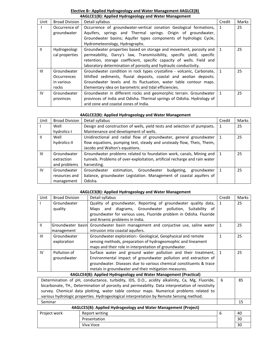### **Elective B– Applied Hydrogeology and Water Management 4AGLCE(B) 4AGLCE1(B): Applied Hydrogeology and Water Management**

| Unit           | <b>Broad Division</b> | Detail syllabus                                                        | Credit | Marks |
|----------------|-----------------------|------------------------------------------------------------------------|--------|-------|
|                | Occurrence of         | Occurrence of groundwater-vertical zonation Geological formations,     |        | 25    |
|                | groundwater           | Aquifers, springs and Thermal springs. Origin of groundwater,          |        |       |
|                |                       | Groundwater basins; Aquifer types components of hydrologic Cycle,      |        |       |
|                |                       | Hydrometeorology, Hydrographs.                                         |        |       |
| $\mathbf{H}$   | Hydrogeologi          | Groundwater properties based on storage and movement, porosity and     |        | 25    |
|                | cal properties        | permeability, Darcy's law, Transmissibility, specific yield, specific  |        |       |
|                |                       | retention, storage coefficient, specific capacity of wells. Field and  |        |       |
|                |                       | laboratory determination of porosity and hydraulic conductivity.       |        |       |
| $\mathbf{III}$ | Groundwater           | Groundwater condition in rock types crystalline - volcanic, Carbonate, |        | 25    |
|                | <b>Occurrences</b>    | lithified sediments, fluvial deposits, coastal and aeolian deposits.   |        |       |
|                | in various            | Groundwater levels and its fluctuation, water table contour maps.      |        |       |
|                | rocks                 | Elementary idea on barometric and tidal efficiencies.                  |        |       |
| <b>IV</b>      | Groundwater           | Groundwater in different rocks and geomorphic terrain. Groundwater     |        | 25    |
|                | provinces             | provinces of India and Odisha. Thermal springs of Odisha. Hydrology of |        |       |
|                |                       | arid zone and coastal zones of India.                                  |        |       |

### **4AGLCE2(B): Applied Hydrogeology and Water Management**

| Unit           | <b>Broad Division</b> | Detail syllabus                                                            | Credit | Marks |
|----------------|-----------------------|----------------------------------------------------------------------------|--------|-------|
|                | Well                  | Design and construction of wells, yield tests and selection of pumpsets.   |        | 25    |
|                | hydrolics-I           | Maintenance and development of wells.                                      |        |       |
|                | Well                  | Unidirectional and radial flow of groundwater, general groundwater         |        | 25    |
|                | hydrolics-II          | flow equations, pumping test, steady and unsteady flow, Theis, Theim,      |        |       |
|                |                       | Jacobs and Walton's equations.                                             |        |       |
| $\mathbf{III}$ | Groundwater           | Groundwater problems related to foundation work, canals, Mining and        |        | 25    |
|                | extraction            | tunnels. Problems of over-exploitation, artificial recharge and rain water |        |       |
|                | and problems          | harvesting.                                                                |        |       |
| IV             | Groundwater           | Groundwater<br>budgeting,<br>estimation, Groundwater<br>groundwater        |        | 25    |
|                | resources and         | balance, groundwater Legislation. Management of coastal aquifers of        |        |       |
|                | management            | Odisha.                                                                    |        |       |

#### **4AGLCE3(B): Applied Hydrogeology and Water Management**

| Unit           | <b>Broad Division</b> | Detail syllabus                                                                 | Credit       | Marks |
|----------------|-----------------------|---------------------------------------------------------------------------------|--------------|-------|
|                | Groundwater           | Quality of groundwater, Reporting of groundwater quality data,                  |              | 25    |
|                | quality               | Maps and diagrams, Groundwater pollution, Suitability of                        |              |       |
|                |                       | groundwater for various uses, Fluoride problem in Odisha. Fluoride              |              |       |
|                |                       | and Arsenic problems in India.                                                  |              |       |
| $\mathbf{H}$   |                       | Groundwater basin Groundwater basin management and conjuctive use, saline water | 1            | 25    |
|                | management            | intrusion into coastal aquifers.                                                |              |       |
| $\mathbf{III}$ | Groundwater           | Groundwater exploration: - Geological, Geophysical and remote                   |              | 25    |
|                | exploration           | sensing methods, preparation of hydrogeomophic and lineament                    |              |       |
|                |                       | maps and their role in interpretation of groundwater.                           |              |       |
| IV             | Pollution of          | Surface water and ground water pollution and their treatment,                   | $\mathbf{1}$ | 25    |
|                | groundwater           | Environmental impact of groundwater pollution and extraction of                 |              |       |
|                |                       | groundwater. Diseases due to various chemical constituents & trace              |              |       |
|                |                       | metals in groundwater and their mitigation measures.                            |              |       |
|                |                       | 4AGLCE4(B): Applied Hydrogeology and Water Management (Practical)               |              |       |

| Determination of pH, conductance, turbidity, IDS, D.O., acidity alkalinity, Ca, Mg, Fluoride,   6 | 85 |
|---------------------------------------------------------------------------------------------------|----|
| bicarbonate, TH., Determination of porosity and permeability. Data interpretation of resistivity  |    |
| survey. Chemical data plotting, water table contour maps. Numerical problems related to           |    |
| various hydrologic properties. Hydrogeological interpretation by Remote Sensing method.           |    |
| Seminar                                                                                           |    |

|              | 4AGLCE5(B): Applied Hydrogeology and Water Management (Project) |    |
|--------------|-----------------------------------------------------------------|----|
| Project work | Report writing                                                  | 40 |
|              | Presentation                                                    | 30 |
|              | Viva Voce                                                       | 30 |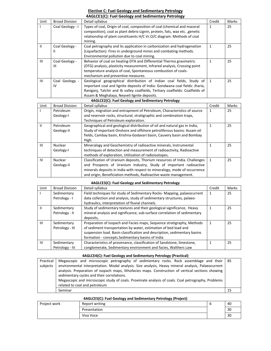### **Elective C: Fuel Geology and Sedimentary Petrology 4AGLCE1(C): Fuel Geology and Sedimentary Petrology**

| Unit           | <b>Broad Division</b> | Detail syllabus                                                                | Credit | Marks |
|----------------|-----------------------|--------------------------------------------------------------------------------|--------|-------|
|                | Coal Geology - I      | Types of coal, Origin of coal, composition of coal (chemical and maceral       | 1      | 25    |
|                |                       | composition), coal as plant debris-Lignin, protein, fats, wax etc., genetic    |        |       |
|                |                       | relationship of plant constituents H/C Vr.O/C diagram. Methods of coal         |        |       |
|                |                       | mining.                                                                        |        |       |
| $\mathbf{I}$   | Coal Geology -        | Coal petrography and its application in carbonization and hydrogenation        | 1      | 25    |
|                | Ш                     | (Liquefaction). Fires in underground mines and combating methods.              |        |       |
|                |                       | Environmental pollution due to coal mining.                                    |        |       |
| $\mathbf{III}$ | Coal Geology -        | Behavior of coal on heating-DTA and Differential Thermo gravimetric            | 1      | 25    |
|                | Ш                     | (DTG) analysis, plasticity measurement, Infrared analysis, Crossing point      |        |       |
|                |                       | temperature analysis of coal, Spontaneous combustion of coals-                 |        |       |
|                |                       | mechanism and preventive measures.                                             |        |       |
| IV             | Coal Geology -        | Geological geographical distribution of Indian coal fields, Study of           | 1      | 25    |
|                | IV                    | important coal and lignite deposits of India: Gondwana coal fields: Jharia,    |        |       |
|                |                       | Raniganj, Talchir and Ib valley coalfields, Tertiary coalfields: Coalfields of |        |       |
|                |                       | Assam & Meghalaya, Neyveli lignite deposits.                                   |        |       |
|                |                       | AAGLCE2(C): Euel Geology and Sedimentary Petrology                             |        |       |

| Unit | <b>Broad Division</b> | Detail syllabus                                                            | Credit | Marks |
|------|-----------------------|----------------------------------------------------------------------------|--------|-------|
|      | Petroleum             | Origin, migration and entrapment of Petroleum, Characteristics of source   | 1      | 25    |
|      | Geology-I             | and reservoir rocks, structural, stratigraphic and combination traps,      |        |       |
|      |                       | Techniques of Petroleum exploration.                                       |        |       |
| Ш    | Petroleum             | Geographical and geological distribution of oil and natural gas in India,  |        | 25    |
|      | Geology-II            | Study of important Onshore and offshore petroliferous basins: Assam oil    |        |       |
|      |                       | fields, Cambay basin, Krishna-Godavari basin, Cauvery basin and Bombay     |        |       |
|      |                       | High.                                                                      |        |       |
| III  | Nuclear               | Mineralogy and Geochemistry of radioactive minerals, Instrumental          |        | 25    |
|      | Geology-I             | techniques of detection and measurement of radioactivity, Radioactive      |        |       |
|      |                       | methods of exploration, Utilization of radioisotopes.                      |        |       |
| IV   | Nuclear               | Classification of Uranium deposits, Thorium resources of India. Challenges |        | 25    |
|      | Geology-II            | and Prospects of Uranium Industry, Study of important radioactive          |        |       |
|      |                       | minerals deposits in India with respect to mineralogy, mode of occurrence  |        |       |
|      |                       | and origin, Beneficiation methods, Radioactive waste management.           |        |       |

#### **4AGLCE3(C): Fuel Geology and Sedimentary Petrology**

| Unit           | <b>Broad Division</b> | Detail syllabus                                                           | Credit | Marks |
|----------------|-----------------------|---------------------------------------------------------------------------|--------|-------|
|                | Sedimentary           | Field techniques for study of Sedimentary Rocks-Mapping, palaeocurrent    |        | 25    |
|                | Petrology - I         | data collection and analysis, study of sedimentary structures, palaeo-    |        |       |
|                |                       | hydraulics, interpretation of fluvial channels.                           |        |       |
| $\mathbf{H}$   | Sedimentary           | Study of sedimentary textures and their geological significance, Heavy    |        | 25    |
|                | Petrology - II        | mineral analysis and significance, sub-surface correlation of sedimentary |        |       |
|                |                       | deposits,                                                                 |        |       |
| $\mathbf{III}$ | Sedimentary           | Preparation of Isopach and Facies maps, Sequence stratigraphy, Methods    |        | 25    |
|                | Petrology - III       | of sediment transportation by water, estimation of bed load and           |        |       |
|                |                       | suspension load. Basin classification and description, sedimentary basins |        |       |
|                |                       | formation - concepts. Sedimentary basins of India                         |        |       |
| IV             | Sedimentary           | Characteristics of provenance, classification of Sandstone, limestone,    |        | 25    |
|                | Petrology - IV        | conglomerate, Sedimentary environment and facies, Walthers Law            |        |       |

#### **4AGLCE4(C): Fuel Geology and Sedimentary Petrology (Practical)**

| Practical | Megascopic and microscopic petrography of sedimentary rocks. Rock assemblage and their   85        |    |
|-----------|----------------------------------------------------------------------------------------------------|----|
| subjects  | environmental interpretation. Modal analysis. Size analysis, Heavy mineral analysis, Palaeocurrent |    |
|           | analysis. Preparation of isopach maps, lithofacies maps. Construction of vertical sections showing |    |
|           | sedimentary cycles and their correlations.                                                         |    |
|           | Megascopic and microscopic study of coals. Proximate analysis of coals. Coal petrography, Problems |    |
|           | related to coal and petroleum                                                                      |    |
|           | Seminar                                                                                            | 15 |

| 4AGLCE5(C): Fuel Geology and Sedimentary Petrology (Project) |              |                |  |     |  |
|--------------------------------------------------------------|--------------|----------------|--|-----|--|
|                                                              | Project work | Report writing |  | -40 |  |
|                                                              |              | Presentation   |  | 30  |  |
|                                                              |              | Viva Voce      |  | 30  |  |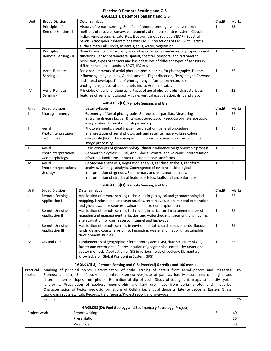#### **Elective D Remote Sensing and GIS 4AGLCE1(D): Remote Sensing and GIS**

| Unit           | <b>Broad Division</b> | Detail syllabus                                                                     | Credit | Marks |
|----------------|-----------------------|-------------------------------------------------------------------------------------|--------|-------|
|                | Principles of         | History of remote sensing, Benefits of remote sensing over conventional             |        | 25    |
|                | Remote Sensing - I    | methods of resource survey, components of remote sensing system, Global and         |        |       |
|                |                       | Indian remote sensing satellites. Electromagnetic radiation(EMR), Spectral          |        |       |
|                |                       | bands, Atmospheric interactions with EMR, Interactions of EMR with Earth's          |        |       |
|                |                       | surface materials-rocks, minerals, soils, water, vegetation.                        |        |       |
| $\mathbf{H}$   | Principles of         | Remote sensing platforms- types and uses. Sensors-fundamental properties and        |        | 25    |
|                | Remote Sensing - II   | functions. Sensor parameters- spatial, spectral, temporal and radiometric           |        |       |
|                |                       | resolution, types of sensors and basic features of different types of sensors in    |        |       |
|                |                       | different satellites-Landsat, SPOT, IRS etc.                                        |        |       |
| $\mathbf{III}$ | Aerial Remote         | Basic requirements of aerial photography, planning for photography, Factors         |        | 25    |
|                | Sensing-I             | influencing image quality, Aerial cameras, Flight direction, Flying height, Forward |        |       |
|                |                       | and lateral overlaps, Time of photography, Information recorded on aerial           |        |       |
|                |                       | photographs, preparation of photo index, Aerial mosaics.                            |        |       |
| IV             | Aerial Remote         | Principles of aerial photography, types of aerial photographs, characteristics      |        | 25    |
|                | Sensing -II           | features of aerial photography- scale, vertical exaggeration, drift and crab.       |        |       |

#### **4AGLCE2(D): Remote Sensing and GIS**

| Unit           | <b>Broad Division</b>  | Detail syllabus                                                                 | Credit | Marks |
|----------------|------------------------|---------------------------------------------------------------------------------|--------|-------|
|                | Photogrammetry         | Geometry of Aerial photographs, Stereoscopic parallax, Measuring                |        | 25    |
|                |                        | instruments-parallax bar & its use. Stereoscopy, Pseudoscopy, stereoscopic      |        |       |
|                |                        | exaggeration, Estimation of slope and dip.                                      |        |       |
| $\mathbf{II}$  | Aerial                 | Photo elements, visual image interpretation-general procedure,                  |        | 25    |
|                | Photointerpretation-   | interpretation of aerial photograph and satellite imagery, false colour         |        |       |
|                | <b>Techniques</b>      | composite (FCC), stereoscopes, conditions for stereoscopic vision, digital      |        |       |
|                |                        | image processing.                                                               |        |       |
| $\mathbf{III}$ | Aerial                 | Basic concepts of geomorphology, climatic influence on geomorphic process,      |        | 25    |
|                | Photointerpretation-   | Geomorphic cycles: Fluvial, Arid, Glacial, coastal and volcanic. Interpretation |        |       |
|                | Geomorphology          | of various landforms, Structural and tectonic landforms.                        |        |       |
| <b>IV</b>      | Aerial                 | Geotechnical analysis, Vegetation analysis, Landuse analysis, Landform          |        | 25    |
|                | Photointerpretations - | analysis, Drainage analysis, Convergence of evidence, Lithological              |        |       |
|                | Geology                | interpretation of Igneous, Sedimentary and Metamorphic rock,                    |        |       |
|                |                        | interpretation of structural features - folds, faults and unconformity.         |        |       |

#### **4AGLCE3(D): Remote Sensing and GIS**

| Unit           | <b>Broad Division</b>  | Detail syllabus                                                                 | Credit | Marks |
|----------------|------------------------|---------------------------------------------------------------------------------|--------|-------|
|                | <b>Remote Sensing</b>  | Application of remote sensing techniques in geological and geomorphological     |        | 25    |
|                | Application I          | mapping, landuse and landcover studies, terrain evaluation, mineral exploration |        |       |
|                |                        | and groundwater resources evaluation, petroleum exploration                     |        |       |
| $\mathbf{I}$   | <b>Remote Sensing</b>  | Application of remote sensing techniques in agricultural management, forest     |        | 25    |
|                | Application II         | mapping and management, irrigation and watershed management, engineering        |        |       |
|                |                        | site evaluation for dam, reservoir, tunnel and highways                         |        |       |
| $\mathbf{III}$ | <b>Remote Sensing</b>  | Application of remote sensing in environmental hazard managements-floods,       |        | 25    |
|                | <b>Application III</b> | landslide and coastal erosion, soil mapping, waste land mapping, sustainable    |        |       |
|                |                        | development studies                                                             |        |       |
| IV             | GIS and GPS            | Fundamentals of geographic information system (GIS), data structure of GIS,     |        | 25    |
|                |                        | Raster and vector data, Representation of geographical entities by raster and   |        |       |
|                |                        | vector methods. Application of GIS in various fields of geology. Elementary     |        |       |
|                |                        | knowledge on Global Positioning System(GPS)                                     |        |       |

#### **4AGLCE4(D): Remote Sensing and GIS (Practical) 6 credits and 100 marks**

Practical subjects Marking of principal points. Determination of scale. Tracing of details from aerial photos and imageries. 85 Stereoscopic test, Use of pocket and mirror stereoscopes, use of parallax bar. Measurement of heights and determination of slopes from photos. Estimation of dip of beds. Study of topographic maps to identify typical landforms. Preparation of geologic, geomorphic and land use maps from aerial photos and imageries. Characterisation of typical geologic formations of Odisha i.e. alluvial deposits, laterite deposits, Eastern Ghats, Gondwana rocks etc. Lab. Records, Field reports/Project report and viva-voce. 85 Seminar 15

| 4AGLCE5(D): Fuel Geology and Sedimentary Petrology (Project) |                |  |    |  |  |
|--------------------------------------------------------------|----------------|--|----|--|--|
| Project work                                                 | Report writing |  | 40 |  |  |
|                                                              | Presentation   |  | 30 |  |  |
|                                                              | Viva Voce      |  | 30 |  |  |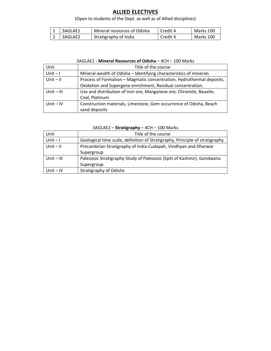# **ALLIED ELECTIVES**

# (Open to students of the Dept. as well as of Allied disciplines)

| ᆠ | 3AGLAE1 | Mineral resources of Odisha | Credit 4 | Marks 100 |
|---|---------|-----------------------------|----------|-----------|
| ∠ | 3AGLAE2 | Stratigraphy of India       | Credit 4 | Marks 100 |

#### 3AGLAE1 **- Mineral Resources of Odisha** – 4CH – 100 Marks

| Unit         | Title of the course                                                   |  |  |
|--------------|-----------------------------------------------------------------------|--|--|
| $Unit - I$   | Mineral wealth of Odisha - Identifying characteristics of minerals    |  |  |
| $Unit - II$  | Process of Formation – Magmatic concentration, Hydrothermal deposits, |  |  |
|              | Oxidation and Supergene enrichment, Residual concentration.           |  |  |
| $Unit - III$ | Use and distribution of Iron ore, Manganese ore, Chromite, Bauxite,   |  |  |
|              | Coal, Platinum                                                        |  |  |
| Unit $-IV$   | Construction materials, Limestone, Gem occurrence of Odisha, Beach    |  |  |
|              | sand deposits                                                         |  |  |

| Unit         | Title of the course                                                          |  |  |
|--------------|------------------------------------------------------------------------------|--|--|
| $Unit - I$   | Geological time scale, definition of Stratigraphy, Principle of stratigraphy |  |  |
| $Unit - II$  | Precambrian Stratigraphy of India-Cudapah, Vindhyan and Dharwar              |  |  |
|              | Supergroup                                                                   |  |  |
| Unit $-$ III | Paleozoic Stratigraphy-Study of Paleozoic (Spiti of Kashmir), Gondwana       |  |  |
|              | Supergroup                                                                   |  |  |
| Unit $-IV$   | Stratigraphy of Odisha                                                       |  |  |

## 3AGLAE2 – **Stratigraphy** – 4CH – 100 Marks